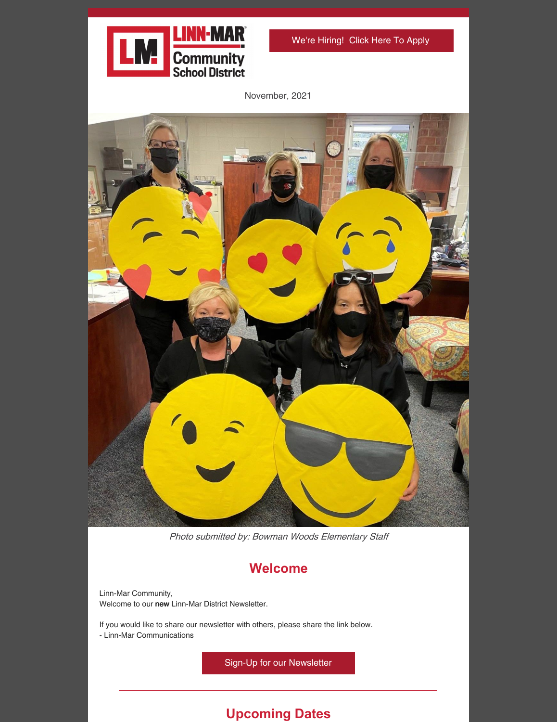

We're [Hiring!](https://www.linnmar.k12.ia.us/district/departments/human-resources/) Click Here To Apply

November, 2021



Photo submitted by: Bowman Woods Elementary Staff

## **Welcome**

Linn-Mar Community, Welcome to our new Linn-Mar District Newsletter.

If you would like to share our newsletter with others, please share the link below.

- Linn-Mar Communications

Sign-Up for our [Newsletter](https://www.linnmar.k12.ia.us/district/departments/communications-and-media/newsletter-archive/)

# **Upcoming Dates**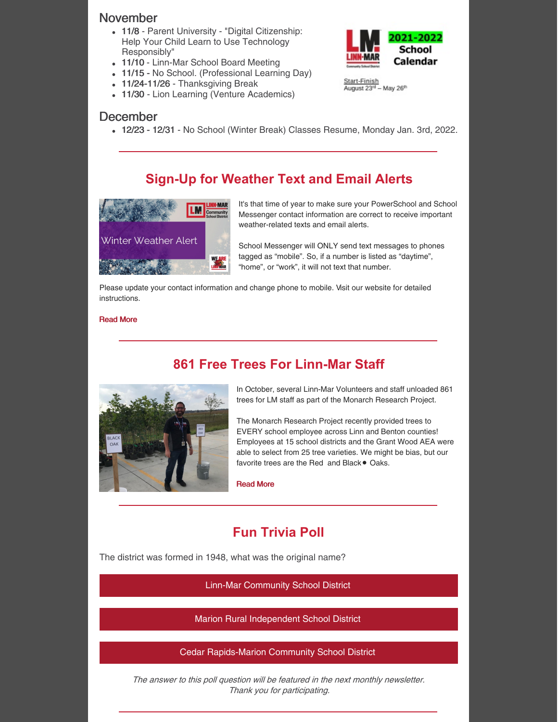#### November

- 11/8 Parent University "Digital Citizenship: Help Your Child Learn to Use Technology Responsibly"
- 11/10 Linn-Mar School Board Meeting
- 11/15 No School. (Professional Learning Day)
- 11/24-11/26 Thanksgiving Break
- 11/30 Lion Learning (Venture Academics)

#### December

12/23 - 12/31 - No School (Winter Break) Classes Resume, Monday Jan. 3rd, 2022.

### **Sign-Up for Weather Text and Email Alerts**



It's that time of year to make sure your PowerSchool and School Messenger contact information are correct to receive important weather-related texts and email alerts.

School Messenger will ONLY send text messages to phones tagged as "mobile". So, if a number is listed as "daytime", "home", or "work", it will not text that number.

Please update your contact information and change phone to mobile. Visit our website for detailed instructions.

#### [Read](https://www.linnmar.k12.ia.us/district/cancelations-and-delays/) More

#### **861 Free Trees For Linn-Mar Staff**



In October, several Linn-Mar Volunteers and staff unloaded 861 trees for LM staff as part of the Monarch Research Project.

The Monarch Research Project recently provided trees to EVERY school employee across Linn and Benton counties! Employees at 15 school districts and the Grant Wood AEA were able to select from 25 tree varieties. We might be bias, but our favorite trees are the Red and Black . Oaks.

[Read](https://www.facebook.com/linnmarcsd/posts/6921091011237914) More

## **Fun Trivia Poll**

The district was formed in 1948, what was the original name?

Linn-Mar [Community](https://campaignlp.constantcontact.com/forms/response?id=s2K4AWIFKOGZUmMHsQsScA2t9mHnmSeJll8V2Mc5976UpaayqOJ92PGJtNSiCSPW-Nr94c7v8Iew20k6_LdBit5sfHg_Tf5eGH1PUB5phFnLffPwginSczmBPNDBgevZxf7u5a_u5hJY9VJZftbdDsVuIN5_NE_V9ldEgfApy4B9XfusbB-T4X-vGhETlNVKuzWk_BooTyXFYMefTsr-aw&encVer=1&c=&ch=) School District

Marion Rural [Independent](https://campaignlp.constantcontact.com/forms/response?id=s2K4AWIFKOGZUmMHsQsScA2t9mHnmSeJll8V2Mc5976UpaayqOJ92PGJtNSiCSPW-Nr94c7v8Iew20k6_LdBit5sfHg_Tf5eGH1PUB5phFnLffPwginSczmBPNDBgevZxf7u5a_u5hJY9VJZftbdDsVuIN5_NE_V9ldEgfApy4B9XfusbB-T4X-vGhETlNVKuzWk_BooTyXXN6S9LkQxSg&encVer=1&c=&ch=) School District

Cedar [Rapids-Marion](https://campaignlp.constantcontact.com/forms/response?id=s2K4AWIFKOGZUmMHsQsScA2t9mHnmSeJll8V2Mc5976UpaayqOJ92PGJtNSiCSPW-Nr94c7v8Iew20k6_LdBit5sfHg_Tf5eGH1PUB5phFnLffPwginSczmBPNDBgevZxf7u5a_u5hJY9VJZftbdDsVuIN5_NE_V9ldEgfApy4B9XfusbB-T4X-vGhETlNVKuzWk_BooTyWrUSvPlZJhEA&encVer=1&c=&ch=) Community School District

The answer to this poll question will be featured in the next monthly newsletter. Thank you for participating.



Start-Finish August 23<sup>rd</sup> - May 26<sup>th</sup>